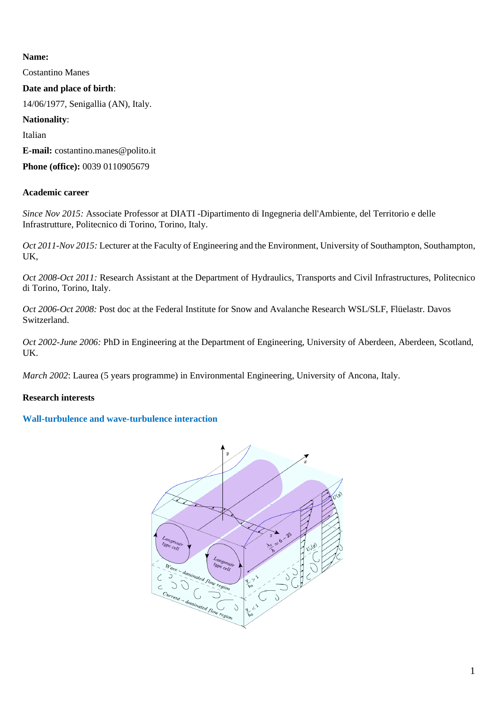## **Name:**

Costantino Manes

### **Date and place of birth**:

14/06/1977, Senigallia (AN), Italy.

### **Nationality**:

Italian

**E-mail:** costantino.manes@polito.it

**Phone (office):** 0039 0110905679

## **Academic career**

*Since Nov 2015:* Associate Professor at DIATI -Dipartimento di Ingegneria dell'Ambiente, del Territorio e delle Infrastrutture, Politecnico di Torino, Torino, Italy.

*Oct 2011-Nov 2015:* Lecturer at the Faculty of Engineering and the Environment, University of Southampton, Southampton, UK,

*Oct 2008-Oct 2011:* Research Assistant at the Department of Hydraulics, Transports and Civil Infrastructures, Politecnico di Torino, Torino, Italy.

*Oct 2006-Oct 2008:* Post doc at the Federal Institute for Snow and Avalanche Research WSL/SLF, Flüelastr. Davos Switzerland.

*Oct 2002-June 2006:* PhD in Engineering at the Department of Engineering, University of Aberdeen, Aberdeen, Scotland, UK.

*March 2002*: Laurea (5 years programme) in Environmental Engineering, University of Ancona, Italy.

## **Research interests**

## **Wall-turbulence and wave-turbulence interaction**

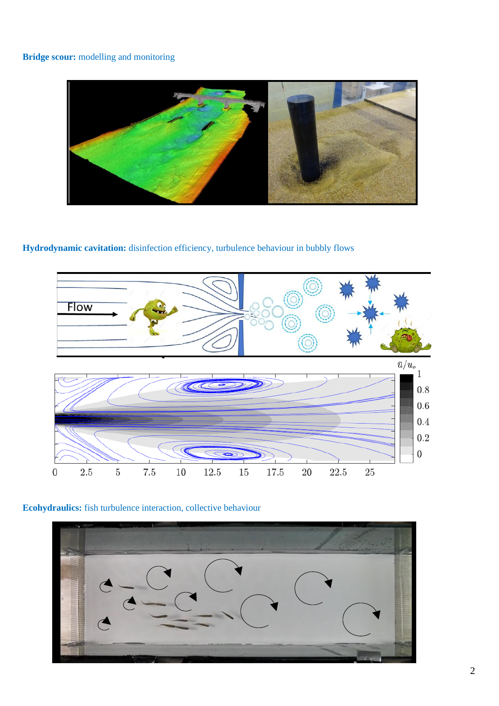## **Bridge scour:** modelling and monitoring



# **Hydrodynamic cavitation:** disinfection efficiency, turbulence behaviour in bubbly flows



## **Ecohydraulics:** fish turbulence interaction, collective behaviour

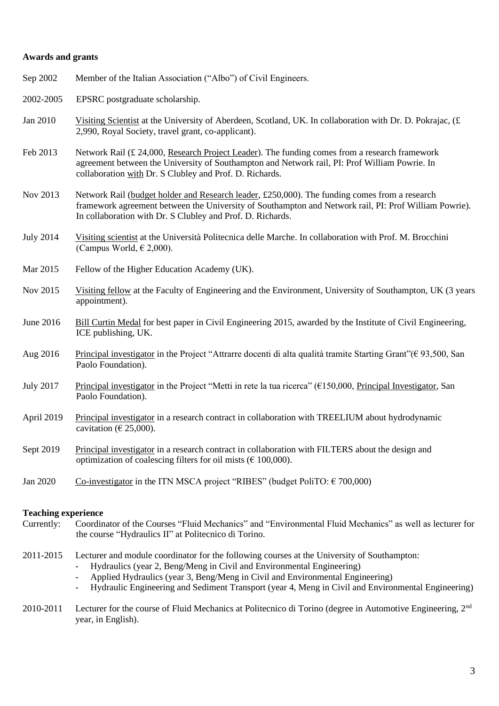#### **Awards and grants**

| Sep 2002         | Member of the Italian Association ("Albo") of Civil Engineers.                                                                                                                                                                                                       |
|------------------|----------------------------------------------------------------------------------------------------------------------------------------------------------------------------------------------------------------------------------------------------------------------|
| 2002-2005        | EPSRC postgraduate scholarship.                                                                                                                                                                                                                                      |
| Jan 2010         | Visiting Scientist at the University of Aberdeen, Scotland, UK. In collaboration with Dr. D. Pokrajac, (£<br>2,990, Royal Society, travel grant, co-applicant).                                                                                                      |
| Feb 2013         | Network Rail (£ 24,000, Research Project Leader). The funding comes from a research framework<br>agreement between the University of Southampton and Network rail, PI: Prof William Powrie. In<br>collaboration with Dr. S Clubley and Prof. D. Richards.            |
| Nov 2013         | Network Rail (budget holder and Research leader, £250,000). The funding comes from a research<br>framework agreement between the University of Southampton and Network rail, PI: Prof William Powrie).<br>In collaboration with Dr. S Clubley and Prof. D. Richards. |
| <b>July 2014</b> | Visiting scientist at the Università Politecnica delle Marche. In collaboration with Prof. M. Brocchini<br>(Campus World, $\in$ 2,000).                                                                                                                              |
| Mar 2015         | Fellow of the Higher Education Academy (UK).                                                                                                                                                                                                                         |
| Nov 2015         | Visiting fellow at the Faculty of Engineering and the Environment, University of Southampton, UK (3 years<br>appointment).                                                                                                                                           |
| June 2016        | Bill Curtin Medal for best paper in Civil Engineering 2015, awarded by the Institute of Civil Engineering,<br>ICE publishing, UK.                                                                                                                                    |
| Aug 2016         | Principal investigator in the Project "Attrarre docenti di alta qualità tramite Starting Grant" ( $\epsilon$ 93,500, San<br>Paolo Foundation).                                                                                                                       |
| <b>July 2017</b> | Principal investigator in the Project "Metti in rete la tua ricerca" ( $E150,000$ , Principal Investigator, San<br>Paolo Foundation).                                                                                                                                |
| April 2019       | Principal investigator in a research contract in collaboration with TREELIUM about hydrodynamic<br>cavitation ( $\in$ 25,000).                                                                                                                                       |
| Sept 2019        | Principal investigator in a research contract in collaboration with FILTERS about the design and<br>optimization of coalescing filters for oil mists ( $\epsilon$ 100,000).                                                                                          |
| Jan 2020         | Co-investigator in the ITN MSCA project "RIBES" (budget PoliTO: $\epsilon$ 700,000)                                                                                                                                                                                  |

### **Teaching experience**

- Currently: Coordinator of the Courses "Fluid Mechanics" and "Environmental Fluid Mechanics" as well as lecturer for the course "Hydraulics II" at Politecnico di Torino.
- 2011-2015 Lecturer and module coordinator for the following courses at the University of Southampton:
	- Hydraulics (year 2, Beng/Meng in Civil and Environmental Engineering)
	- Applied Hydraulics (year 3, Beng/Meng in Civil and Environmental Engineering)
	- Hydraulic Engineering and Sediment Transport (year 4, Meng in Civil and Environmental Engineering)
- 2010-2011 Lecturer for the course of Fluid Mechanics at Politecnico di Torino (degree in Automotive Engineering, 2<sup>nd</sup> year, in English).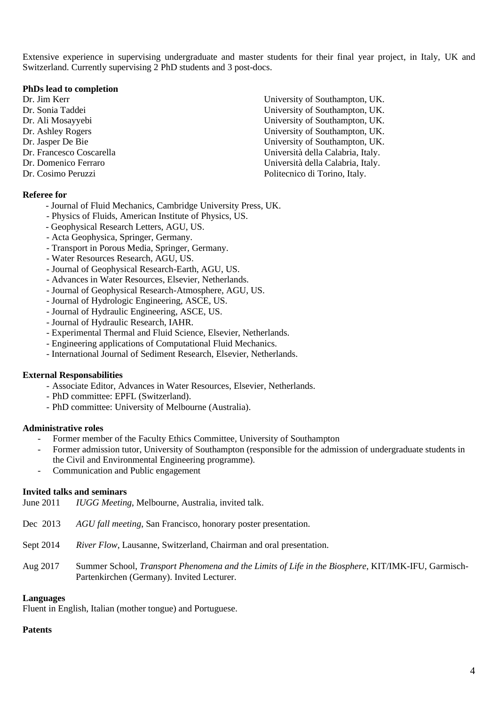Extensive experience in supervising undergraduate and master students for their final year project, in Italy, UK and Switzerland. Currently supervising 2 PhD students and 3 post-docs.

#### **PhDs lead to completion**

Dr. Jim Kerr University of Southampton, UK.

#### **Referee for**

- Journal of Fluid Mechanics, Cambridge University Press, UK.
- Physics of Fluids, American Institute of Physics, US.
- Geophysical Research Letters, AGU, US.
- Acta Geophysica, Springer, Germany.
- Transport in Porous Media, Springer, Germany.
- Water Resources Research, AGU, US.
- Journal of Geophysical Research-Earth, AGU, US.
- Advances in Water Resources, Elsevier, Netherlands.
- Journal of Geophysical Research-Atmosphere, AGU, US.
- Journal of Hydrologic Engineering, ASCE, US.
- Journal of Hydraulic Engineering, ASCE, US.
- Journal of Hydraulic Research, IAHR.
- Experimental Thermal and Fluid Science, Elsevier, Netherlands.
- Engineering applications of Computational Fluid Mechanics.
- International Journal of Sediment Research, Elsevier, Netherlands.

#### **External Responsabilities**

- Associate Editor, Advances in Water Resources, Elsevier, Netherlands.
- PhD committee: EPFL (Switzerland).
- PhD committee: University of Melbourne (Australia).

#### **Administrative roles**

- Former member of the Faculty Ethics Committee, University of Southampton
- Former admission tutor, University of Southampton (responsible for the admission of undergraduate students in the Civil and Environmental Engineering programme).
- Communication and Public engagement

#### **Invited talks and seminars**

| June 2011 | <i>IUGG Meeting</i> , Melbourne, Australia, invited talk.                                                                                        |
|-----------|--------------------------------------------------------------------------------------------------------------------------------------------------|
| Dec 2013  | AGU fall meeting, San Francisco, honorary poster presentation.                                                                                   |
| Sept 2014 | <i>River Flow</i> , Lausanne, Switzerland, Chairman and oral presentation.                                                                       |
| Aug 2017  | Summer School, Transport Phenomena and the Limits of Life in the Biosphere, KIT/IMK-IFU, Garmisch-<br>Partenkirchen (Germany). Invited Lecturer. |

#### **Languages**

Fluent in English, Italian (mother tongue) and Portuguese.

#### **Patents**

Dr. Sonia Taddei University of Southampton, UK. Dr. Ali Mosayyebi University of Southampton, UK. Dr. Ashley Rogers University of Southampton, UK. Dr. Jasper De Bie University of Southampton, UK. Dr. Francesco Coscarella Università della Calabria, Italy. Dr. Domenico Ferraro Università della Calabria, Italy. Dr. Cosimo Peruzzi Politecnico di Torino, Italy.